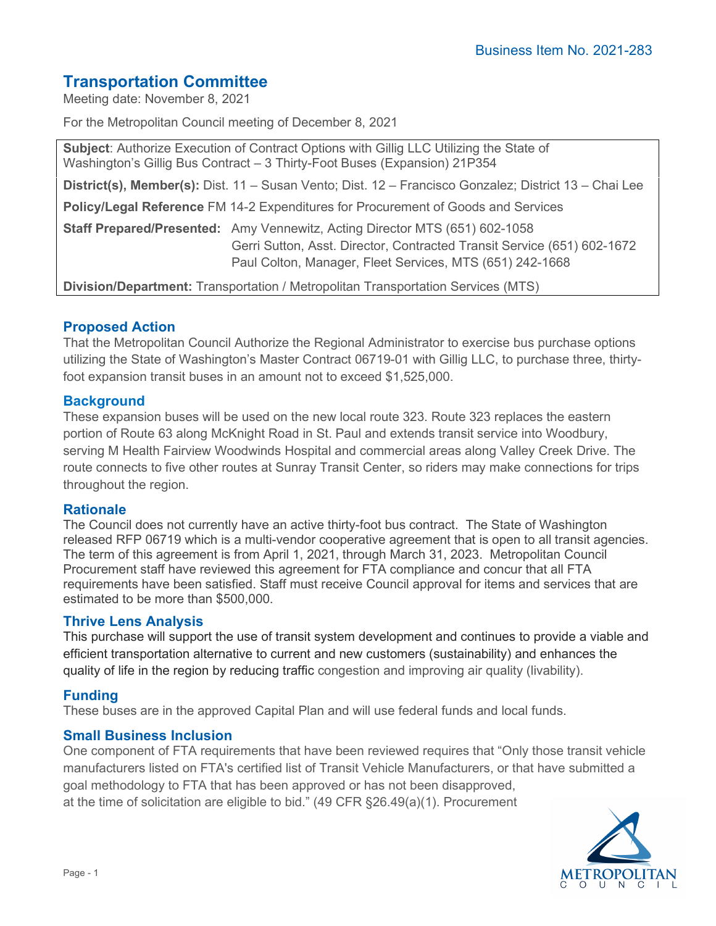# **Transportation Committee**

Meeting date: November 8, 2021

For the Metropolitan Council meeting of December 8, 2021

| Subject: Authorize Execution of Contract Options with Gillig LLC Utilizing the State of<br>Washington's Gillig Bus Contract - 3 Thirty-Foot Buses (Expansion) 21P354                                                      |
|---------------------------------------------------------------------------------------------------------------------------------------------------------------------------------------------------------------------------|
| District(s), Member(s): Dist. 11 – Susan Vento; Dist. 12 – Francisco Gonzalez; District 13 – Chai Lee                                                                                                                     |
| <b>Policy/Legal Reference FM 14-2 Expenditures for Procurement of Goods and Services</b>                                                                                                                                  |
| <b>Staff Prepared/Presented:</b> Amy Vennewitz, Acting Director MTS (651) 602-1058<br>Gerri Sutton, Asst. Director, Contracted Transit Service (651) 602-1672<br>Paul Colton, Manager, Fleet Services, MTS (651) 242-1668 |
| Division/Department: Transportation / Metropolitan Transportation Services (MTS)                                                                                                                                          |

## **Proposed Action**

That the Metropolitan Council Authorize the Regional Administrator to exercise bus purchase options utilizing the State of Washington's Master Contract 06719-01 with Gillig LLC, to purchase three, thirtyfoot expansion transit buses in an amount not to exceed \$1,525,000.

## **Background**

These expansion buses will be used on the new local route 323. Route 323 replaces the eastern portion of Route 63 along McKnight Road in St. Paul and extends transit service into Woodbury, serving M Health Fairview Woodwinds Hospital and commercial areas along Valley Creek Drive. The route connects to five other routes at Sunray Transit Center, so riders may make connections for trips throughout the region.

## **Rationale**

The Council does not currently have an active thirty-foot bus contract. The State of Washington released RFP 06719 which is a multi-vendor cooperative agreement that is open to all transit agencies. The term of this agreement is from April 1, 2021, through March 31, 2023. Metropolitan Council Procurement staff have reviewed this agreement for FTA compliance and concur that all FTA requirements have been satisfied. Staff must receive Council approval for items and services that are estimated to be more than \$500,000.

## **Thrive Lens Analysis**

This purchase will support the use of transit system development and continues to provide a viable and efficient transportation alternative to current and new customers (sustainability) and enhances the quality of life in the region by reducing traffic congestion and improving air quality (livability).

## **Funding**

These buses are in the approved Capital Plan and will use federal funds and local funds.

## **Small Business Inclusion**

One component of FTA requirements that have been reviewed requires that "Only those transit vehicle manufacturers listed on FTA's certified list of Transit Vehicle Manufacturers, or that have submitted a goal methodology to FTA that has been approved or has not been disapproved, at the time of solicitation are eligible to bid." (49 CFR §26.49(a)(1). Procurement

**METROPOLITAN**